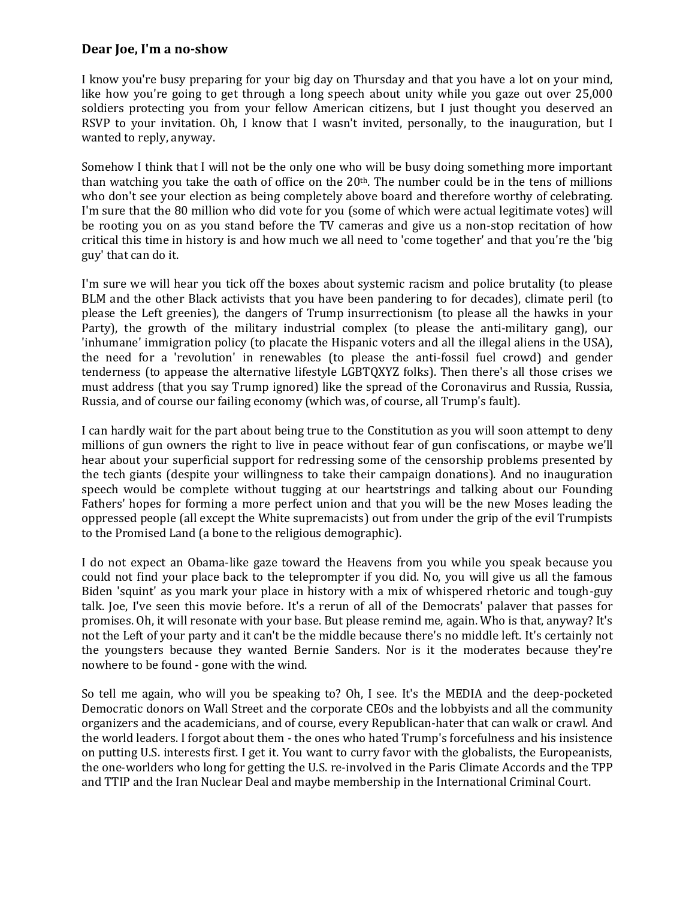## **Dear Joe, I'm a no-show**

I know you're busy preparing for your big day on Thursday and that you have a lot on your mind, like how you're going to get through a long speech about unity while you gaze out over 25,000 soldiers protecting you from your fellow American citizens, but I just thought you deserved an RSVP to your invitation. Oh, I know that I wasn't invited, personally, to the inauguration, but I wanted to reply, anyway.

Somehow I think that I will not be the only one who will be busy doing something more important than watching you take the oath of office on the 20th. The number could be in the tens of millions who don't see your election as being completely above board and therefore worthy of celebrating. I'm sure that the 80 million who did vote for you (some of which were actual legitimate votes) will be rooting you on as you stand before the TV cameras and give us a non-stop recitation of how critical this time in history is and how much we all need to 'come together' and that you're the 'big guy' that can do it.

I'm sure we will hear you tick off the boxes about systemic racism and police brutality (to please BLM and the other Black activists that you have been pandering to for decades), climate peril (to please the Left greenies), the dangers of Trump insurrectionism (to please all the hawks in your Party), the growth of the military industrial complex (to please the anti-military gang), our 'inhumane' immigration policy (to placate the Hispanic voters and all the illegal aliens in the USA), the need for a 'revolution' in renewables (to please the anti-fossil fuel crowd) and gender tenderness (to appease the alternative lifestyle LGBTQXYZ folks). Then there's all those crises we must address (that you say Trump ignored) like the spread of the Coronavirus and Russia, Russia, Russia, and of course our failing economy (which was, of course, all Trump's fault).

I can hardly wait for the part about being true to the Constitution as you will soon attempt to deny millions of gun owners the right to live in peace without fear of gun confiscations, or maybe we'll hear about your superficial support for redressing some of the censorship problems presented by the tech giants (despite your willingness to take their campaign donations). And no inauguration speech would be complete without tugging at our heartstrings and talking about our Founding Fathers' hopes for forming a more perfect union and that you will be the new Moses leading the oppressed people (all except the White supremacists) out from under the grip of the evil Trumpists to the Promised Land (a bone to the religious demographic).

I do not expect an Obama-like gaze toward the Heavens from you while you speak because you could not find your place back to the teleprompter if you did. No, you will give us all the famous Biden 'squint' as you mark your place in history with a mix of whispered rhetoric and tough-guy talk. Joe, I've seen this movie before. It's a rerun of all of the Democrats' palaver that passes for promises. Oh, it will resonate with your base. But please remind me, again. Who is that, anyway? It's not the Left of your party and it can't be the middle because there's no middle left. It's certainly not the youngsters because they wanted Bernie Sanders. Nor is it the moderates because they're nowhere to be found - gone with the wind.

So tell me again, who will you be speaking to? Oh, I see. It's the MEDIA and the deep-pocketed Democratic donors on Wall Street and the corporate CEOs and the lobbyists and all the community organizers and the academicians, and of course, every Republican-hater that can walk or crawl. And the world leaders. I forgot about them - the ones who hated Trump's forcefulness and his insistence on putting U.S. interests first. I get it. You want to curry favor with the globalists, the Europeanists, the one-worlders who long for getting the U.S. re-involved in the Paris Climate Accords and the TPP and TTIP and the Iran Nuclear Deal and maybe membership in the International Criminal Court.